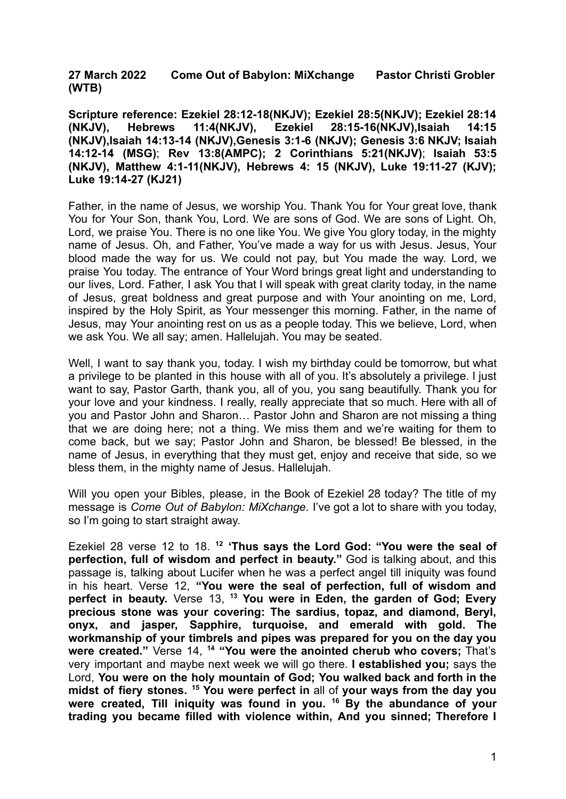**27 March 2022 Come Out of Babylon: MiXchange Pastor Christi Grobler (WTB)**

**Scripture reference: Ezekiel 28:12-18(NKJV); Ezekiel 28:5(NKJV); Ezekiel 28:14 (NKJV), Hebrews 11:4(NKJV), Ezekiel 28:15-16(NKJV),Isaiah 14:15 (NKJV),Isaiah 14:13-14 (NKJV),Genesis 3:1-6 (NKJV); Genesis 3:6 NKJV; Isaiah 14:12-14 (MSG)**; **Rev 13:8(AMPC); 2 Corinthians 5:21(NKJV)**; **Isaiah 53:5 (NKJV), Matthew 4:1-11(NKJV), Hebrews 4: 15 (NKJV), Luke 19:11-27 (KJV); Luke 19:14-27 (KJ21)**

Father, in the name of Jesus, we worship You. Thank You for Your great love, thank You for Your Son, thank You, Lord. We are sons of God. We are sons of Light. Oh, Lord, we praise You. There is no one like You. We give You glory today, in the mighty name of Jesus. Oh, and Father, You've made a way for us with Jesus. Jesus, Your blood made the way for us. We could not pay, but You made the way. Lord, we praise You today. The entrance of Your Word brings great light and understanding to our lives, Lord. Father, I ask You that I will speak with great clarity today, in the name of Jesus, great boldness and great purpose and with Your anointing on me, Lord, inspired by the Holy Spirit, as Your messenger this morning. Father, in the name of Jesus, may Your anointing rest on us as a people today. This we believe, Lord, when we ask You. We all say; amen. Hallelujah. You may be seated.

Well, I want to say thank you, today. I wish my birthday could be tomorrow, but what a privilege to be planted in this house with all of you. It's absolutely a privilege. I just want to say, Pastor Garth, thank you, all of you, you sang beautifully. Thank you for your love and your kindness. I really, really appreciate that so much. Here with all of you and Pastor John and Sharon… Pastor John and Sharon are not missing a thing that we are doing here; not a thing. We miss them and we're waiting for them to come back, but we say; Pastor John and Sharon, be blessed! Be blessed, in the name of Jesus, in everything that they must get, enjoy and receive that side, so we bless them, in the mighty name of Jesus. Hallelujah.

Will you open your Bibles, please, in the Book of Ezekiel 28 today? The title of my message is *Come Out of Babylon: MiXchange*. I've got a lot to share with you today, so I'm going to start straight away.

Ezekiel 28 verse 12 to 18. **<sup>12</sup> 'Thus says the Lord God: "You were the seal of perfection, full of wisdom and perfect in beauty."** God is talking about, and this passage is, talking about Lucifer when he was a perfect angel till iniquity was found in his heart. Verse 12, **"You were the seal of perfection, full of wisdom and perfect in beauty.** Verse 13, **<sup>13</sup> You were in Eden, the garden of God; Every precious stone was your covering: The sardius, topaz, and diamond, Beryl, onyx, and jasper, Sapphire, turquoise, and emerald with gold. The workmanship of your timbrels and pipes was prepared for you on the day you were created."** Verse 14, **<sup>14</sup> "You were the anointed cherub who covers;** That's very important and maybe next week we will go there. **I established you;** says the Lord, **You were on the holy mountain of God; You walked back and forth in the midst of fiery stones. <sup>15</sup> You were perfect in** all of **your ways from the day you were created, Till iniquity was found in you. <sup>16</sup> By the abundance of your trading you became filled with violence within, And you sinned; Therefore I**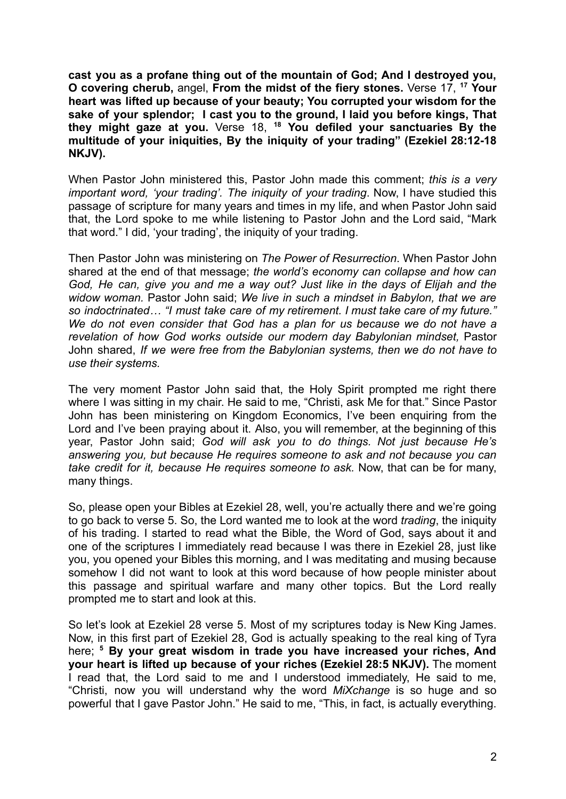**cast you as a profane thing out of the mountain of God; And I destroyed you, O covering cherub,** angel, **From the midst of the fiery stones.** Verse 17, **<sup>17</sup> Your heart was lifted up because of your beauty; You corrupted your wisdom for the sake of your splendor; I cast you to the ground, I laid you before kings, That they might gaze at you.** Verse 18, **<sup>18</sup> You defiled your sanctuaries By the multitude of your iniquities, By the iniquity of your trading" (Ezekiel 28:12-18 NKJV).**

When Pastor John ministered this, Pastor John made this comment; *this is a very important word, 'your trading'. The iniquity of your trading*. Now, I have studied this passage of scripture for many years and times in my life, and when Pastor John said that, the Lord spoke to me while listening to Pastor John and the Lord said, "Mark that word." I did, 'your trading', the iniquity of your trading.

Then Pastor John was ministering on *The Power of Resurrection*. When Pastor John shared at the end of that message; *the world's economy can collapse and how can God, He can, give you and me a way out? Just like in the days of Elijah and the widow woman.* Pastor John said; *We live in such a mindset in Babylon, that we are so indoctrinated… "I must take care of my retirement. I must take care of my future." We do not even consider that God has a plan for us because we do not have a revelation of how God works outside our modern day Babylonian mindset,* Pastor John shared, *If we were free from the Babylonian systems, then we do not have to use their systems.*

The very moment Pastor John said that, the Holy Spirit prompted me right there where I was sitting in my chair. He said to me, "Christi, ask Me for that." Since Pastor John has been ministering on Kingdom Economics, I've been enquiring from the Lord and I've been praying about it. Also, you will remember, at the beginning of this year, Pastor John said; *God will ask you to do things. Not just because He's answering you, but because He requires someone to ask and not because you can take credit for it, because He requires someone to ask.* Now, that can be for many, many things.

So, please open your Bibles at Ezekiel 28, well, you're actually there and we're going to go back to verse 5. So, the Lord wanted me to look at the word *trading*, the iniquity of his trading. I started to read what the Bible, the Word of God, says about it and one of the scriptures I immediately read because I was there in Ezekiel 28, just like you, you opened your Bibles this morning, and I was meditating and musing because somehow I did not want to look at this word because of how people minister about this passage and spiritual warfare and many other topics. But the Lord really prompted me to start and look at this.

So let's look at Ezekiel 28 verse 5. Most of my scriptures today is New King James. Now, in this first part of Ezekiel 28, God is actually speaking to the real king of Tyra here; **<sup>5</sup> By your great wisdom in trade you have increased your riches, And your heart is lifted up because of your riches (Ezekiel 28:5 NKJV).** The moment I read that, the Lord said to me and I understood immediately, He said to me, "Christi, now you will understand why the word *MiXchange* is so huge and so powerful that I gave Pastor John." He said to me, "This, in fact, is actually everything.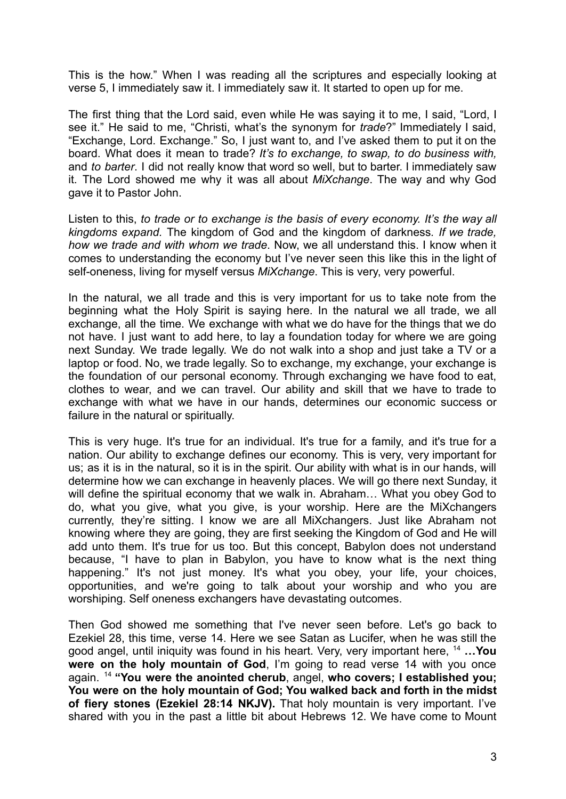This is the how." When I was reading all the scriptures and especially looking at verse 5, I immediately saw it. I immediately saw it. It started to open up for me.

The first thing that the Lord said, even while He was saying it to me, I said, "Lord, I see it." He said to me, "Christi, what's the synonym for *trade*?" Immediately I said, "Exchange, Lord. Exchange." So, I just want to, and I've asked them to put it on the board. What does it mean to trade? *It's to exchange, to swap, to do business with,* and *to barter*. I did not really know that word so well, but to barter. I immediately saw it. The Lord showed me why it was all about *MiXchange*. The way and why God gave it to Pastor John.

Listen to this, *to trade or to exchange is the basis of every economy. It's the way all kingdoms expand.* The kingdom of God and the kingdom of darkness*. If we trade, how we trade and with whom we trade*. Now, we all understand this. I know when it comes to understanding the economy but I've never seen this like this in the light of self-oneness, living for myself versus *MiXchange*. This is very, very powerful.

In the natural, we all trade and this is very important for us to take note from the beginning what the Holy Spirit is saying here. In the natural we all trade, we all exchange, all the time. We exchange with what we do have for the things that we do not have. I just want to add here, to lay a foundation today for where we are going next Sunday. We trade legally. We do not walk into a shop and just take a TV or a laptop or food. No, we trade legally. So to exchange, my exchange, your exchange is the foundation of our personal economy. Through exchanging we have food to eat, clothes to wear, and we can travel. Our ability and skill that we have to trade to exchange with what we have in our hands, determines our economic success or failure in the natural or spiritually.

This is very huge. It's true for an individual. It's true for a family, and it's true for a nation. Our ability to exchange defines our economy. This is very, very important for us; as it is in the natural, so it is in the spirit. Our ability with what is in our hands, will determine how we can exchange in heavenly places. We will go there next Sunday, it will define the spiritual economy that we walk in. Abraham... What you obey God to do, what you give, what you give, is your worship. Here are the MiXchangers currently, they're sitting. I know we are all MiXchangers. Just like Abraham not knowing where they are going, they are first seeking the Kingdom of God and He will add unto them. It's true for us too. But this concept, Babylon does not understand because, "I have to plan in Babylon, you have to know what is the next thing happening." It's not just money. It's what you obey, your life, your choices, opportunities, and we're going to talk about your worship and who you are worshiping. Self oneness exchangers have devastating outcomes.

Then God showed me something that I've never seen before. Let's go back to Ezekiel 28, this time, verse 14. Here we see Satan as Lucifer, when he was still the good angel, until iniquity was found in his heart. Very, very important here, <sup>14</sup> **…You were on the holy mountain of God**, I'm going to read verse 14 with you once again. <sup>14</sup> **"You were the anointed cherub**, angel, **who covers; I established you; You were on the holy mountain of God; You walked back and forth in the midst of fiery stones (Ezekiel 28:14 NKJV).** That holy mountain is very important. I've shared with you in the past a little bit about Hebrews 12. We have come to Mount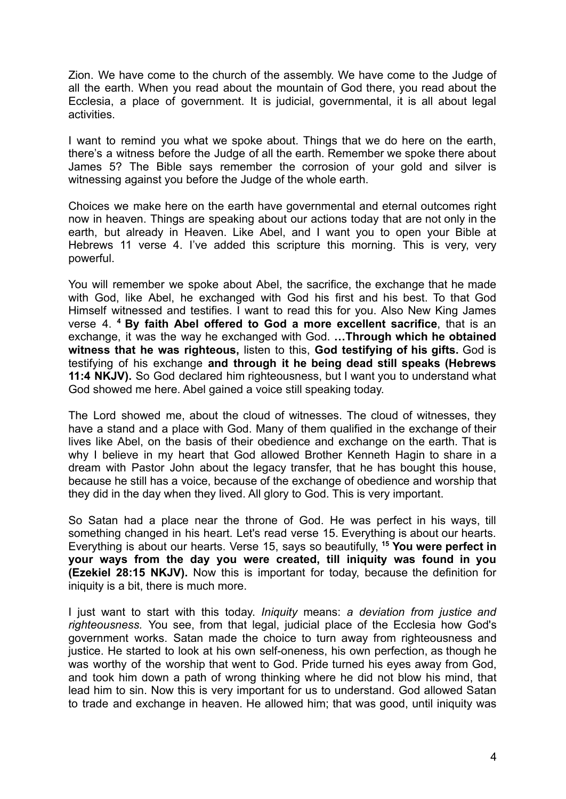Zion. We have come to the church of the assembly. We have come to the Judge of all the earth. When you read about the mountain of God there, you read about the Ecclesia, a place of government. It is judicial, governmental, it is all about legal activities.

I want to remind you what we spoke about. Things that we do here on the earth, there's a witness before the Judge of all the earth. Remember we spoke there about James 5? The Bible says remember the corrosion of your gold and silver is witnessing against you before the Judge of the whole earth.

Choices we make here on the earth have governmental and eternal outcomes right now in heaven. Things are speaking about our actions today that are not only in the earth, but already in Heaven. Like Abel, and I want you to open your Bible at Hebrews 11 verse 4. I've added this scripture this morning. This is very, very powerful.

You will remember we spoke about Abel, the sacrifice, the exchange that he made with God, like Abel, he exchanged with God his first and his best. To that God Himself witnessed and testifies. I want to read this for you. Also New King James verse 4. **<sup>4</sup> By faith Abel offered to God a more excellent sacrifice**, that is an exchange, it was the way he exchanged with God. **…Through which he obtained witness that he was righteous,** listen to this, **God testifying of his gifts.** God is testifying of his exchange **and through it he being dead still speaks (Hebrews 11:4 NKJV).** So God declared him righteousness, but I want you to understand what God showed me here. Abel gained a voice still speaking today.

The Lord showed me, about the cloud of witnesses. The cloud of witnesses, they have a stand and a place with God. Many of them qualified in the exchange of their lives like Abel, on the basis of their obedience and exchange on the earth. That is why I believe in my heart that God allowed Brother Kenneth Hagin to share in a dream with Pastor John about the legacy transfer, that he has bought this house, because he still has a voice, because of the exchange of obedience and worship that they did in the day when they lived. All glory to God. This is very important.

So Satan had a place near the throne of God. He was perfect in his ways, till something changed in his heart. Let's read verse 15. Everything is about our hearts. Everything is about our hearts. Verse 15, says so beautifully, **<sup>15</sup> You were perfect in your ways from the day you were created, till iniquity was found in you (Ezekiel 28:15 NKJV).** Now this is important for today, because the definition for iniquity is a bit, there is much more.

I just want to start with this today. *Iniquity* means: *a deviation from justice and righteousness.* You see, from that legal, judicial place of the Ecclesia how God's government works. Satan made the choice to turn away from righteousness and justice. He started to look at his own self-oneness, his own perfection, as though he was worthy of the worship that went to God. Pride turned his eyes away from God, and took him down a path of wrong thinking where he did not blow his mind, that lead him to sin. Now this is very important for us to understand. God allowed Satan to trade and exchange in heaven. He allowed him; that was good, until iniquity was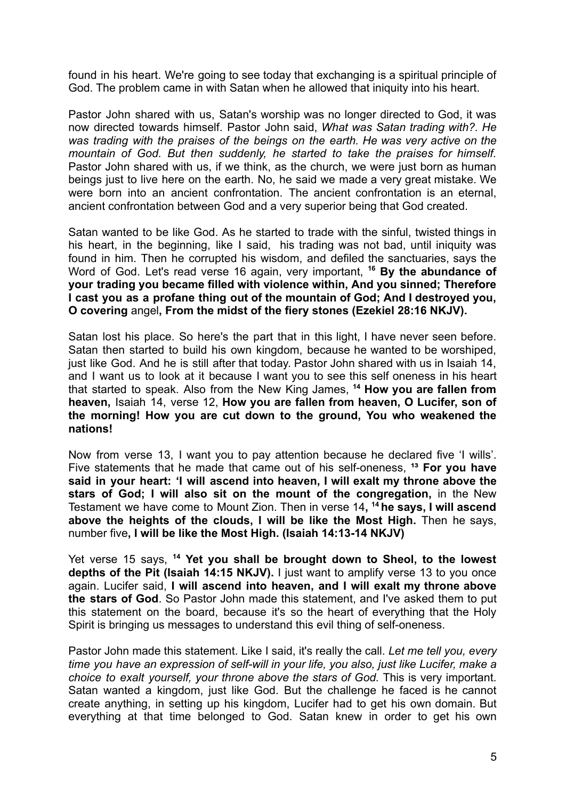found in his heart. We're going to see today that exchanging is a spiritual principle of God. The problem came in with Satan when he allowed that iniquity into his heart.

Pastor John shared with us, Satan's worship was no longer directed to God, it was now directed towards himself. Pastor John said, *What was Satan trading with?. He was trading with the praises of the beings on the earth. He was very active on the mountain of God. But then suddenly, he started to take the praises for himself.* Pastor John shared with us, if we think, as the church, we were just born as human beings just to live here on the earth. No, he said we made a very great mistake. We were born into an ancient confrontation. The ancient confrontation is an eternal, ancient confrontation between God and a very superior being that God created.

Satan wanted to be like God. As he started to trade with the sinful, twisted things in his heart, in the beginning, like I said, his trading was not bad, until iniquity was found in him. Then he corrupted his wisdom, and defiled the sanctuaries, says the Word of God. Let's read verse 16 again, very important, **<sup>16</sup> By the abundance of your trading you became filled with violence within, And you sinned; Therefore I cast you as a profane thing out of the mountain of God; And I destroyed you, O covering** angel**, From the midst of the fiery stones (Ezekiel 28:16 NKJV).**

Satan lost his place. So here's the part that in this light, I have never seen before. Satan then started to build his own kingdom, because he wanted to be worshiped, just like God. And he is still after that today. Pastor John shared with us in Isaiah 14, and I want us to look at it because I want you to see this self oneness in his heart that started to speak. Also from the New King James, **<sup>14</sup> How you are fallen from heaven,** Isaiah 14, verse 12, **How you are fallen from heaven, O Lucifer, son of the morning! How you are cut down to the ground, You who weakened the nations!**

Now from verse 13, I want you to pay attention because he declared five 'I wills'. Five statements that he made that came out of his self-oneness, <sup>13</sup> For you have **said in your heart: 'I will ascend into heaven, I will exalt my throne above the stars of God; I will also sit on the mount of the congregation,** in the New Testament we have come to Mount Zion. Then in verse 14**, <sup>14</sup> he says, I will ascend above the heights of the clouds, I will be like the Most High.** Then he says, number five**, I will be like the Most High. (Isaiah 14:13-14 NKJV)**

Yet verse 15 says, **<sup>14</sup> Yet you shall be brought down to Sheol, to the lowest depths of the Pit (Isaiah 14:15 NKJV).** I just want to amplify verse 13 to you once again. Lucifer said, **I will ascend into heaven, and I will exalt my throne above the stars of God**. So Pastor John made this statement, and I've asked them to put this statement on the board, because it's so the heart of everything that the Holy Spirit is bringing us messages to understand this evil thing of self-oneness.

Pastor John made this statement. Like I said, it's really the call. *Let me tell you, every time you have an expression of self-will in your life, you also, just like Lucifer, make a choice to exalt yourself, your throne above the stars of God.* This is very important. Satan wanted a kingdom, just like God. But the challenge he faced is he cannot create anything, in setting up his kingdom, Lucifer had to get his own domain. But everything at that time belonged to God. Satan knew in order to get his own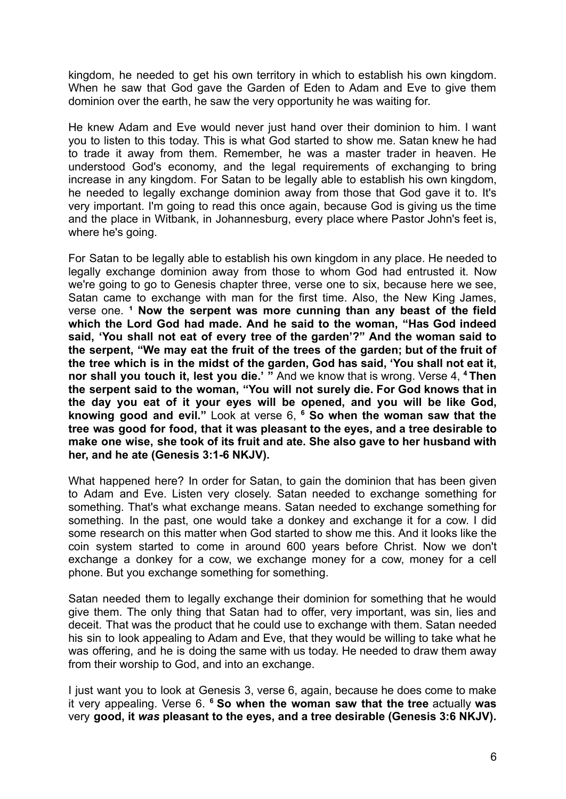kingdom, he needed to get his own territory in which to establish his own kingdom. When he saw that God gave the Garden of Eden to Adam and Eve to give them dominion over the earth, he saw the very opportunity he was waiting for.

He knew Adam and Eve would never just hand over their dominion to him. I want you to listen to this today. This is what God started to show me. Satan knew he had to trade it away from them. Remember, he was a master trader in heaven. He understood God's economy, and the legal requirements of exchanging to bring increase in any kingdom. For Satan to be legally able to establish his own kingdom, he needed to legally exchange dominion away from those that God gave it to. It's very important. I'm going to read this once again, because God is giving us the time and the place in Witbank, in Johannesburg, every place where Pastor John's feet is, where he's going.

For Satan to be legally able to establish his own kingdom in any place. He needed to legally exchange dominion away from those to whom God had entrusted it. Now we're going to go to Genesis chapter three, verse one to six, because here we see, Satan came to exchange with man for the first time. Also, the New King James, verse one. **¹ Now the serpent was more cunning than any beast of the field which the Lord God had made. And he said to the woman, "Has God indeed said, 'You shall not eat of every tree of the garden'?" And the woman said to the serpent, "We may eat the fruit of the trees of the garden; but of the fruit of the tree which is in the midst of the garden, God has said, 'You shall not eat it, nor shall you touch it, lest you die.' "** And we know that is wrong. Verse 4, **<sup>4</sup> Then the serpent said to the woman, "You will not surely die. For God knows that in the day you eat of it your eyes will be opened, and you will be like God, knowing good and evil."** Look at verse 6, **<sup>6</sup> So when the woman saw that the tree was good for food, that it was pleasant to the eyes, and a tree desirable to make one wise, she took of its fruit and ate. She also gave to her husband with her, and he ate (Genesis 3:1-6 NKJV).**

What happened here? In order for Satan, to gain the dominion that has been given to Adam and Eve. Listen very closely. Satan needed to exchange something for something. That's what exchange means. Satan needed to exchange something for something. In the past, one would take a donkey and exchange it for a cow. I did some research on this matter when God started to show me this. And it looks like the coin system started to come in around 600 years before Christ. Now we don't exchange a donkey for a cow, we exchange money for a cow, money for a cell phone. But you exchange something for something.

Satan needed them to legally exchange their dominion for something that he would give them. The only thing that Satan had to offer, very important, was sin, lies and deceit. That was the product that he could use to exchange with them. Satan needed his sin to look appealing to Adam and Eve, that they would be willing to take what he was offering, and he is doing the same with us today. He needed to draw them away from their worship to God, and into an exchange.

I just want you to look at Genesis 3, verse 6, again, because he does come to make it very appealing. Verse 6. **<sup>6</sup> So when the woman saw that the tree** actually **was** very **good, it** *was* **pleasant to the eyes, and a tree desirable (Genesis 3:6 NKJV).**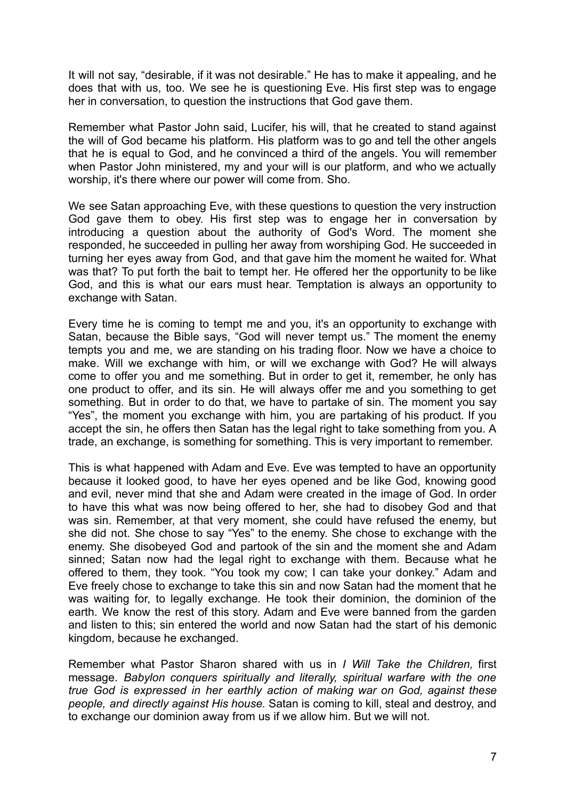It will not say, "desirable, if it was not desirable." He has to make it appealing, and he does that with us, too. We see he is questioning Eve. His first step was to engage her in conversation, to question the instructions that God gave them.

Remember what Pastor John said, Lucifer, his will, that he created to stand against the will of God became his platform. His platform was to go and tell the other angels that he is equal to God, and he convinced a third of the angels. You will remember when Pastor John ministered, my and your will is our platform, and who we actually worship, it's there where our power will come from. Sho.

We see Satan approaching Eve, with these questions to question the very instruction God gave them to obey. His first step was to engage her in conversation by introducing a question about the authority of God's Word. The moment she responded, he succeeded in pulling her away from worshiping God. He succeeded in turning her eyes away from God, and that gave him the moment he waited for. What was that? To put forth the bait to tempt her. He offered her the opportunity to be like God, and this is what our ears must hear. Temptation is always an opportunity to exchange with Satan.

Every time he is coming to tempt me and you, it's an opportunity to exchange with Satan, because the Bible says, "God will never tempt us." The moment the enemy tempts you and me, we are standing on his trading floor. Now we have a choice to make. Will we exchange with him, or will we exchange with God? He will always come to offer you and me something. But in order to get it, remember, he only has one product to offer, and its sin. He will always offer me and you something to get something. But in order to do that, we have to partake of sin. The moment you say "Yes", the moment you exchange with him, you are partaking of his product. If you accept the sin, he offers then Satan has the legal right to take something from you. A trade, an exchange, is something for something. This is very important to remember.

This is what happened with Adam and Eve. Eve was tempted to have an opportunity because it looked good, to have her eyes opened and be like God, knowing good and evil, never mind that she and Adam were created in the image of God. In order to have this what was now being offered to her, she had to disobey God and that was sin. Remember, at that very moment, she could have refused the enemy, but she did not. She chose to say "Yes" to the enemy. She chose to exchange with the enemy. She disobeyed God and partook of the sin and the moment she and Adam sinned; Satan now had the legal right to exchange with them. Because what he offered to them, they took. "You took my cow; I can take your donkey." Adam and Eve freely chose to exchange to take this sin and now Satan had the moment that he was waiting for, to legally exchange. He took their dominion, the dominion of the earth. We know the rest of this story. Adam and Eve were banned from the garden and listen to this; sin entered the world and now Satan had the start of his demonic kingdom, because he exchanged.

Remember what Pastor Sharon shared with us in *I Will Take the Children,* first message. *Babylon conquers spiritually and literally, spiritual warfare with the one true God is expressed in her earthly action of making war on God, against these people, and directly against His house.* Satan is coming to kill, steal and destroy, and to exchange our dominion away from us if we allow him. But we will not.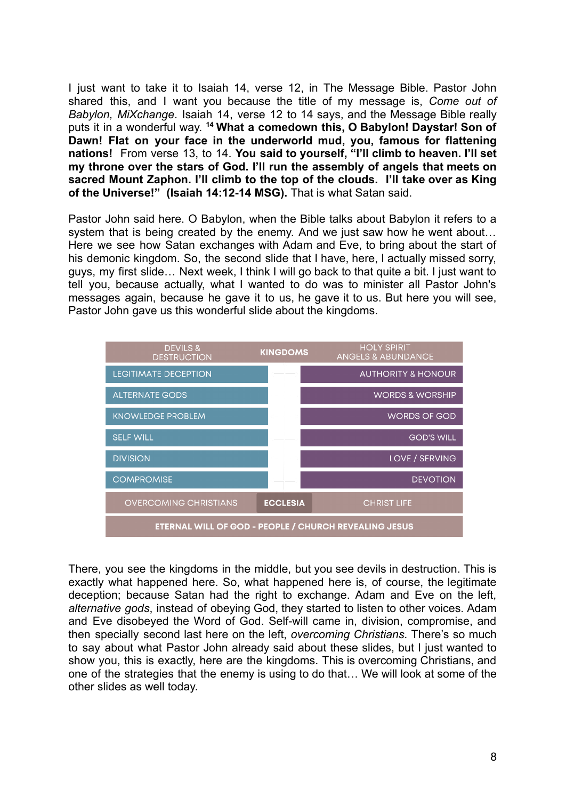I just want to take it to Isaiah 14, verse 12, in The Message Bible. Pastor John shared this, and I want you because the title of my message is, *Come out of Babylon, MiXchange*. Isaiah 14, verse 12 to 14 says, and the Message Bible really puts it in a wonderful way. **<sup>14</sup> What a comedown this, O Babylon! Daystar! Son of Dawn! Flat on your face in the underworld mud, you, famous for flattening nations!** From verse 13, to 14. **You said to yourself, "I'll climb to heaven. I'll set my throne over the stars of God. I'll run the assembly of angels that meets on sacred Mount Zaphon. I'll climb to the top of the clouds. I'll take over as King of the Universe!" (Isaiah 14:12-14 MSG).** That is what Satan said.

Pastor John said here. O Babylon, when the Bible talks about Babylon it refers to a system that is being created by the enemy. And we just saw how he went about… Here we see how Satan exchanges with Adam and Eve, to bring about the start of his demonic kingdom. So, the second slide that I have, here, I actually missed sorry, guys, my first slide… Next week, I think I will go back to that quite a bit. I just want to tell you, because actually, what I wanted to do was to minister all Pastor John's messages again, because he gave it to us, he gave it to us. But here you will see, Pastor John gave us this wonderful slide about the kingdoms.



There, you see the kingdoms in the middle, but you see devils in destruction. This is exactly what happened here. So, what happened here is, of course, the legitimate deception; because Satan had the right to exchange. Adam and Eve on the left, *alternative gods*, instead of obeying God, they started to listen to other voices. Adam and Eve disobeyed the Word of God. Self-will came in, division, compromise, and then specially second last here on the left, *overcoming Christians*. There's so much to say about what Pastor John already said about these slides, but I just wanted to show you, this is exactly, here are the kingdoms. This is overcoming Christians, and one of the strategies that the enemy is using to do that… We will look at some of the other slides as well today.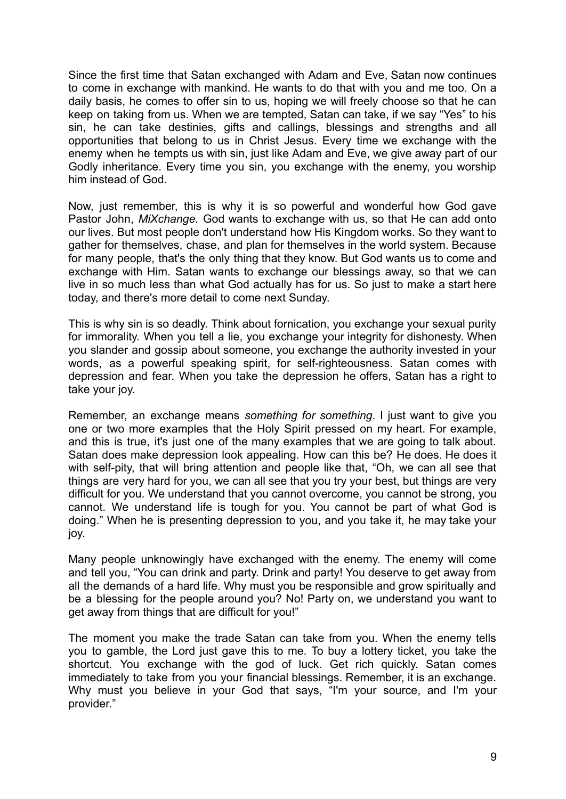Since the first time that Satan exchanged with Adam and Eve, Satan now continues to come in exchange with mankind. He wants to do that with you and me too. On a daily basis, he comes to offer sin to us, hoping we will freely choose so that he can keep on taking from us. When we are tempted, Satan can take, if we say "Yes" to his sin, he can take destinies, gifts and callings, blessings and strengths and all opportunities that belong to us in Christ Jesus. Every time we exchange with the enemy when he tempts us with sin, just like Adam and Eve, we give away part of our Godly inheritance. Every time you sin, you exchange with the enemy, you worship him instead of God.

Now, just remember, this is why it is so powerful and wonderful how God gave Pastor John, *MiXchange.* God wants to exchange with us, so that He can add onto our lives. But most people don't understand how His Kingdom works. So they want to gather for themselves, chase, and plan for themselves in the world system. Because for many people, that's the only thing that they know. But God wants us to come and exchange with Him. Satan wants to exchange our blessings away, so that we can live in so much less than what God actually has for us. So just to make a start here today, and there's more detail to come next Sunday.

This is why sin is so deadly. Think about fornication, you exchange your sexual purity for immorality. When you tell a lie, you exchange your integrity for dishonesty. When you slander and gossip about someone, you exchange the authority invested in your words, as a powerful speaking spirit, for self-righteousness. Satan comes with depression and fear. When you take the depression he offers, Satan has a right to take your joy.

Remember, an exchange means *something for something*. I just want to give you one or two more examples that the Holy Spirit pressed on my heart. For example, and this is true, it's just one of the many examples that we are going to talk about. Satan does make depression look appealing. How can this be? He does. He does it with self-pity, that will bring attention and people like that, "Oh, we can all see that things are very hard for you, we can all see that you try your best, but things are very difficult for you. We understand that you cannot overcome, you cannot be strong, you cannot. We understand life is tough for you. You cannot be part of what God is doing." When he is presenting depression to you, and you take it, he may take your joy.

Many people unknowingly have exchanged with the enemy. The enemy will come and tell you, "You can drink and party. Drink and party! You deserve to get away from all the demands of a hard life. Why must you be responsible and grow spiritually and be a blessing for the people around you? No! Party on, we understand you want to get away from things that are difficult for you!"

The moment you make the trade Satan can take from you. When the enemy tells you to gamble, the Lord just gave this to me. To buy a lottery ticket, you take the shortcut. You exchange with the god of luck. Get rich quickly. Satan comes immediately to take from you your financial blessings. Remember, it is an exchange. Why must you believe in your God that says, "I'm your source, and I'm your provider."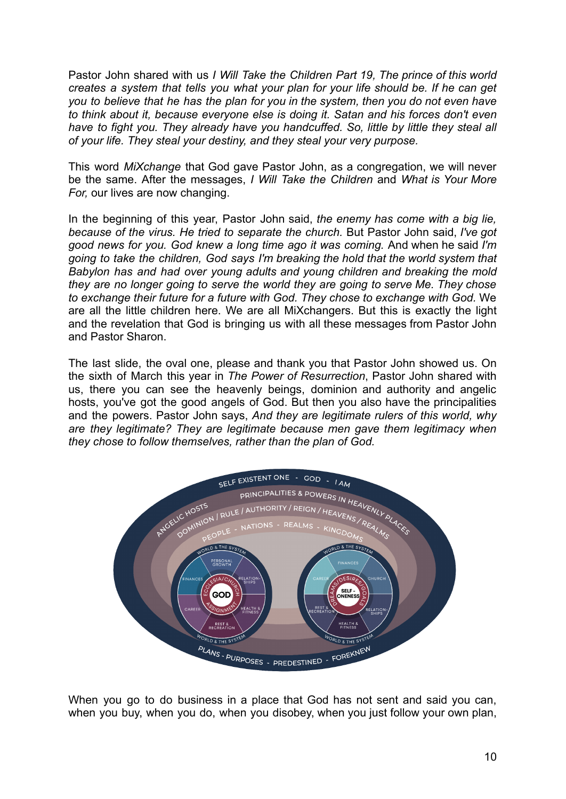Pastor John shared with us *I Will Take the Children Part 19, The prince of this world creates a system that tells you what your plan for your life should be. If he can get you to believe that he has the plan for you in the system, then you do not even have to think about it, because everyone else is doing it. Satan and his forces don't even have to fight you. They already have you handcuffed. So, little by little they steal all of your life. They steal your destiny, and they steal your very purpose.*

This word *MiXchange* that God gave Pastor John, as a congregation, we will never be the same. After the messages, *I Will Take the Children* and *What is Your More For,* our lives are now changing.

In the beginning of this year, Pastor John said, *the enemy has come with a big lie, because of the virus. He tried to separate the church.* But Pastor John said, *I've got good news for you. God knew a long time ago it was coming.* And when he said *I'm going to take the children, God says I'm breaking the hold that the world system that Babylon has and had over young adults and young children and breaking the mold they are no longer going to serve the world they are going to serve Me. They chose to exchange their future for a future with God. They chose to exchange with God.* We are all the little children here. We are all MiXchangers. But this is exactly the light and the revelation that God is bringing us with all these messages from Pastor John and Pastor Sharon.

The last slide, the oval one, please and thank you that Pastor John showed us. On the sixth of March this year in *The Power of Resurrection*, Pastor John shared with us, there you can see the heavenly beings, dominion and authority and angelic hosts, you've got the good angels of God. But then you also have the principalities and the powers. Pastor John says, *And they are legitimate rulers of this world, why are they legitimate? They are legitimate because men gave them legitimacy when they chose to follow themselves, rather than the plan of God.*



When you go to do business in a place that God has not sent and said you can, when you buy, when you do, when you disobey, when you just follow your own plan,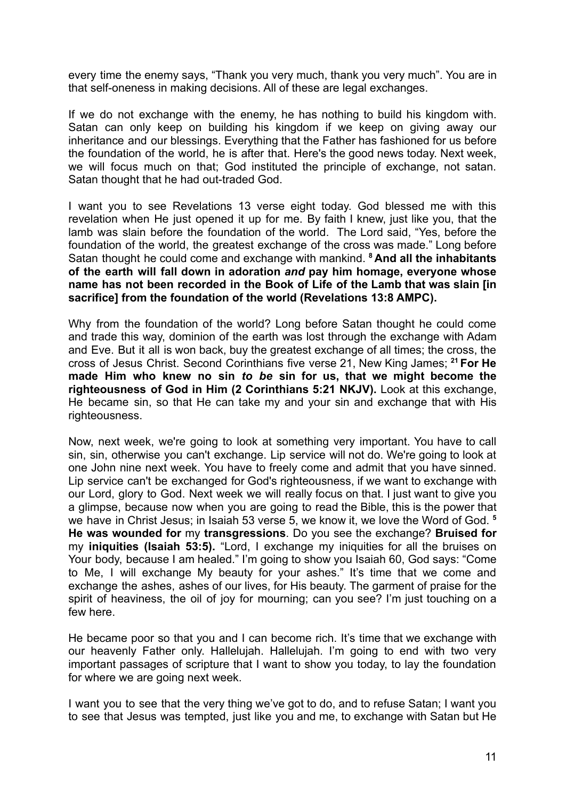every time the enemy says, "Thank you very much, thank you very much". You are in that self-oneness in making decisions. All of these are legal exchanges.

If we do not exchange with the enemy, he has nothing to build his kingdom with. Satan can only keep on building his kingdom if we keep on giving away our inheritance and our blessings. Everything that the Father has fashioned for us before the foundation of the world, he is after that. Here's the good news today. Next week, we will focus much on that; God instituted the principle of exchange, not satan. Satan thought that he had out-traded God.

I want you to see Revelations 13 verse eight today. God blessed me with this revelation when He just opened it up for me. By faith I knew, just like you, that the lamb was slain before the foundation of the world. The Lord said, "Yes, before the foundation of the world, the greatest exchange of the cross was made." Long before Satan thought he could come and exchange with mankind. **<sup>8</sup> And all the inhabitants of the earth will fall down in adoration** *and* **pay him homage, everyone whose name has not been recorded in the Book of Life of the Lamb that was slain [in sacrifice] from the foundation of the world (Revelations 13:8 AMPC).**

Why from the foundation of the world? Long before Satan thought he could come and trade this way, dominion of the earth was lost through the exchange with Adam and Eve. But it all is won back, buy the greatest exchange of all times; the cross, the cross of Jesus Christ. Second Corinthians five verse 21, New King James; **<sup>21</sup> For He made Him who knew no sin** *to be* **sin for us, that we might become the righteousness of God in Him (2 Corinthians 5:21 NKJV).** Look at this exchange, He became sin, so that He can take my and your sin and exchange that with His righteousness.

Now, next week, we're going to look at something very important. You have to call sin, sin, otherwise you can't exchange. Lip service will not do. We're going to look at one John nine next week. You have to freely come and admit that you have sinned. Lip service can't be exchanged for God's righteousness, if we want to exchange with our Lord, glory to God. Next week we will really focus on that. I just want to give you a glimpse, because now when you are going to read the Bible, this is the power that we have in Christ Jesus; in Isaiah 53 verse 5, we know it, we love the Word of God. **<sup>5</sup> He was wounded for** my **transgressions**. Do you see the exchange? **Bruised for** my **iniquities (Isaiah 53:5).** "Lord, I exchange my iniquities for all the bruises on Your body, because I am healed." I'm going to show you Isaiah 60, God says: "Come to Me, I will exchange My beauty for your ashes." It's time that we come and exchange the ashes, ashes of our lives, for His beauty. The garment of praise for the spirit of heaviness, the oil of joy for mourning; can you see? I'm just touching on a few here.

He became poor so that you and I can become rich. It's time that we exchange with our heavenly Father only. Hallelujah. Hallelujah. I'm going to end with two very important passages of scripture that I want to show you today, to lay the foundation for where we are going next week.

I want you to see that the very thing we've got to do, and to refuse Satan; I want you to see that Jesus was tempted, just like you and me, to exchange with Satan but He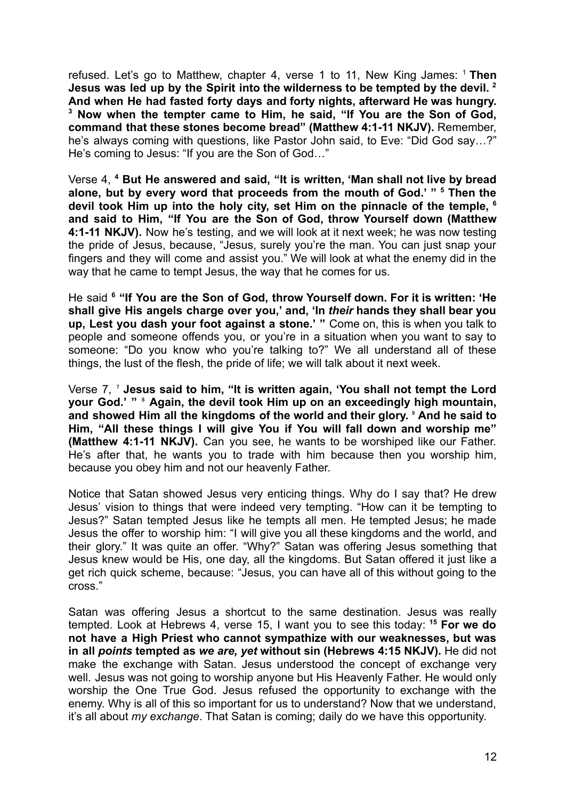refused. Let's go to Matthew, chapter 4, verse 1 to 11, New King James: <sup>1</sup> **Then Jesus was led up by the Spirit into the wilderness to be tempted by the devil. <sup>2</sup> And when He had fasted forty days and forty nights, afterward He was hungry. <sup>3</sup> Now when the tempter came to Him, he said, "If You are the Son of God, command that these stones become bread" (Matthew 4:1-11 NKJV).** Remember, he's always coming with questions, like Pastor John said, to Eve: "Did God say…?" He's coming to Jesus: "If you are the Son of God…"

Verse 4, **<sup>4</sup> But He answered and said, "It is written, 'Man shall not live by bread alone, but by every word that proceeds from the mouth of God.' " <sup>5</sup> Then the devil took Him up into the holy city, set Him on the pinnacle of the temple, <sup>6</sup> and said to Him, "If You are the Son of God, throw Yourself down (Matthew 4:1-11 NKJV).** Now he's testing, and we will look at it next week; he was now testing the pride of Jesus, because, "Jesus, surely you're the man. You can just snap your fingers and they will come and assist you." We will look at what the enemy did in the way that he came to tempt Jesus, the way that he comes for us.

He said **<sup>6</sup> "If You are the Son of God, throw Yourself down. For it is written: 'He shall give His angels charge over you,' and, 'In** *their* **hands they shall bear you up, Lest you dash your foot against a stone.' "** Come on, this is when you talk to people and someone offends you, or you're in a situation when you want to say to someone: "Do you know who you're talking to?" We all understand all of these things, the lust of the flesh, the pride of life; we will talk about it next week.

Verse 7, ⁷ **Jesus said to him, "It is written again, 'You shall not tempt the Lord your God.' "** ⁸ **Again, the devil took Him up on an exceedingly high mountain, and showed Him all the kingdoms of the world and their glory.** ⁹ **And he said to Him, "All these things I will give You if You will fall down and worship me" (Matthew 4:1-11 NKJV).** Can you see, he wants to be worshiped like our Father. He's after that, he wants you to trade with him because then you worship him, because you obey him and not our heavenly Father.

Notice that Satan showed Jesus very enticing things. Why do I say that? He drew Jesus' vision to things that were indeed very tempting. "How can it be tempting to Jesus?" Satan tempted Jesus like he tempts all men. He tempted Jesus; he made Jesus the offer to worship him: "I will give you all these kingdoms and the world, and their glory." It was quite an offer. "Why?" Satan was offering Jesus something that Jesus knew would be His, one day, all the kingdoms. But Satan offered it just like a get rich quick scheme, because: "Jesus, you can have all of this without going to the cross."

Satan was offering Jesus a shortcut to the same destination. Jesus was really tempted. Look at Hebrews 4, verse 15, I want you to see this today: **<sup>15</sup> For we do not have a High Priest who cannot sympathize with our weaknesses, but was in all** *points* **tempted as** *we are, yet* **without sin (Hebrews 4:15 NKJV).** He did not make the exchange with Satan. Jesus understood the concept of exchange very well. Jesus was not going to worship anyone but His Heavenly Father. He would only worship the One True God. Jesus refused the opportunity to exchange with the enemy. Why is all of this so important for us to understand? Now that we understand, it's all about *my exchange*. That Satan is coming; daily do we have this opportunity.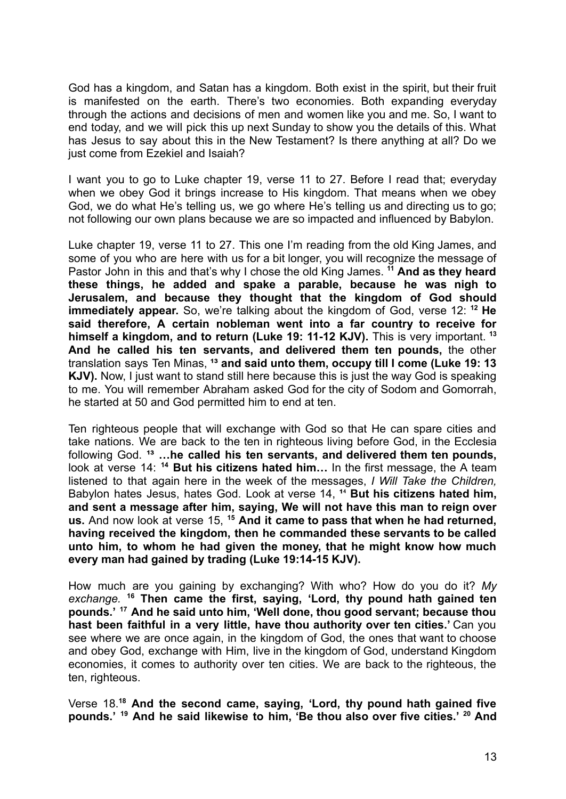God has a kingdom, and Satan has a kingdom. Both exist in the spirit, but their fruit is manifested on the earth. There's two economies. Both expanding everyday through the actions and decisions of men and women like you and me. So, I want to end today, and we will pick this up next Sunday to show you the details of this. What has Jesus to say about this in the New Testament? Is there anything at all? Do we just come from Ezekiel and Isaiah?

I want you to go to Luke chapter 19, verse 11 to 27. Before I read that; everyday when we obey God it brings increase to His kingdom. That means when we obey God, we do what He's telling us, we go where He's telling us and directing us to go; not following our own plans because we are so impacted and influenced by Babylon.

Luke chapter 19, verse 11 to 27. This one I'm reading from the old King James, and some of you who are here with us for a bit longer, you will recognize the message of Pastor John in this and that's why I chose the old King James. **<sup>11</sup> And as they heard these things, he added and spake a parable, because he was nigh to Jerusalem, and because they thought that the kingdom of God should immediately appear.** So, we're talking about the kingdom of God, verse 12: **<sup>12</sup> He said therefore, A certain nobleman went into a far country to receive for himself a kingdom, and to return (Luke 19: 11-12 KJV).** This is very important. **<sup>13</sup> And he called his ten servants, and delivered them ten pounds,** the other translation says Ten Minas, **¹³ and said unto them, occupy till I come (Luke 19: 13 KJV).** Now, I just want to stand still here because this is just the way God is speaking to me. You will remember Abraham asked God for the city of Sodom and Gomorrah, he started at 50 and God permitted him to end at ten.

Ten righteous people that will exchange with God so that He can spare cities and take nations. We are back to the ten in righteous living before God, in the Ecclesia following God. **¹³ …he called his ten servants, and delivered them ten pounds,** look at verse 14: **<sup>14</sup> But his citizens hated him…** In the first message, the A team listened to that again here in the week of the messages, *I Will Take the Children,* Babylon hates Jesus, hates God. Look at verse 14, <sup>14</sup> But his citizens hated him, **and sent a message after him, saying, We will not have this man to reign over us.** And now look at verse 15, **<sup>15</sup> And it came to pass that when he had returned, having received the kingdom, then he commanded these servants to be called unto him, to whom he had given the money, that he might know how much every man had gained by trading (Luke 19:14-15 KJV).**

How much are you gaining by exchanging? With who? How do you do it? *My exchange.* **<sup>16</sup> Then came the first, saying, 'Lord, thy pound hath gained ten pounds.' <sup>17</sup> And he said unto him, 'Well done, thou good servant; because thou hast been faithful in a very little, have thou authority over ten cities.'** Can you see where we are once again, in the kingdom of God, the ones that want to choose and obey God, exchange with Him, live in the kingdom of God, understand Kingdom economies, it comes to authority over ten cities. We are back to the righteous, the ten, righteous.

Verse 18.**<sup>18</sup> And the second came, saying, 'Lord, thy pound hath gained five pounds.' <sup>19</sup> And he said likewise to him, 'Be thou also over five cities.' <sup>20</sup> And**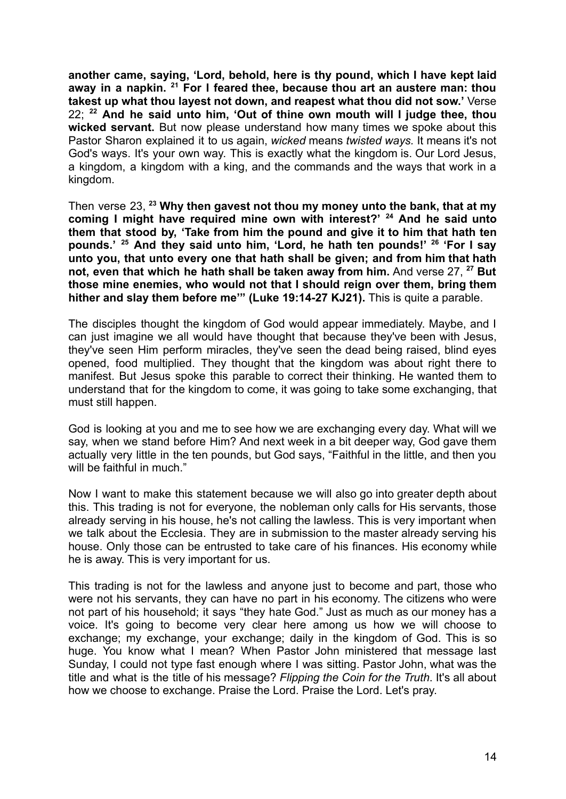**another came, saying, 'Lord, behold, here is thy pound, which I have kept laid away in a napkin. <sup>21</sup> For I feared thee, because thou art an austere man: thou takest up what thou layest not down, and reapest what thou did not sow.'** Verse 22; **<sup>22</sup> And he said unto him, 'Out of thine own mouth will I judge thee, thou wicked servant.** But now please understand how many times we spoke about this Pastor Sharon explained it to us again, *wicked* means *twisted ways.* It means it's not God's ways. It's your own way. This is exactly what the kingdom is. Our Lord Jesus, a kingdom, a kingdom with a king, and the commands and the ways that work in a kingdom.

Then verse 23, **<sup>23</sup> Why then gavest not thou my money unto the bank, that at my coming I might have required mine own with interest?' <sup>24</sup> And he said unto them that stood by, 'Take from him the pound and give it to him that hath ten pounds.' <sup>25</sup> And they said unto him, 'Lord, he hath ten pounds!' <sup>26</sup> 'For I say unto you, that unto every one that hath shall be given; and from him that hath not, even that which he hath shall be taken away from him.** And verse 27, **<sup>27</sup> But those mine enemies, who would not that I should reign over them, bring them hither and slay them before me'" (Luke 19:14-27 KJ21).** This is quite a parable.

The disciples thought the kingdom of God would appear immediately. Maybe, and I can just imagine we all would have thought that because they've been with Jesus, they've seen Him perform miracles, they've seen the dead being raised, blind eyes opened, food multiplied. They thought that the kingdom was about right there to manifest. But Jesus spoke this parable to correct their thinking. He wanted them to understand that for the kingdom to come, it was going to take some exchanging, that must still happen.

God is looking at you and me to see how we are exchanging every day. What will we say, when we stand before Him? And next week in a bit deeper way, God gave them actually very little in the ten pounds, but God says, "Faithful in the little, and then you will be faithful in much."

Now I want to make this statement because we will also go into greater depth about this. This trading is not for everyone, the nobleman only calls for His servants, those already serving in his house, he's not calling the lawless. This is very important when we talk about the Ecclesia. They are in submission to the master already serving his house. Only those can be entrusted to take care of his finances. His economy while he is away. This is very important for us.

This trading is not for the lawless and anyone just to become and part, those who were not his servants, they can have no part in his economy. The citizens who were not part of his household; it says "they hate God." Just as much as our money has a voice. It's going to become very clear here among us how we will choose to exchange; my exchange, your exchange; daily in the kingdom of God. This is so huge. You know what I mean? When Pastor John ministered that message last Sunday, I could not type fast enough where I was sitting. Pastor John, what was the title and what is the title of his message? *Flipping the Coin for the Truth*. It's all about how we choose to exchange. Praise the Lord. Praise the Lord. Let's pray.